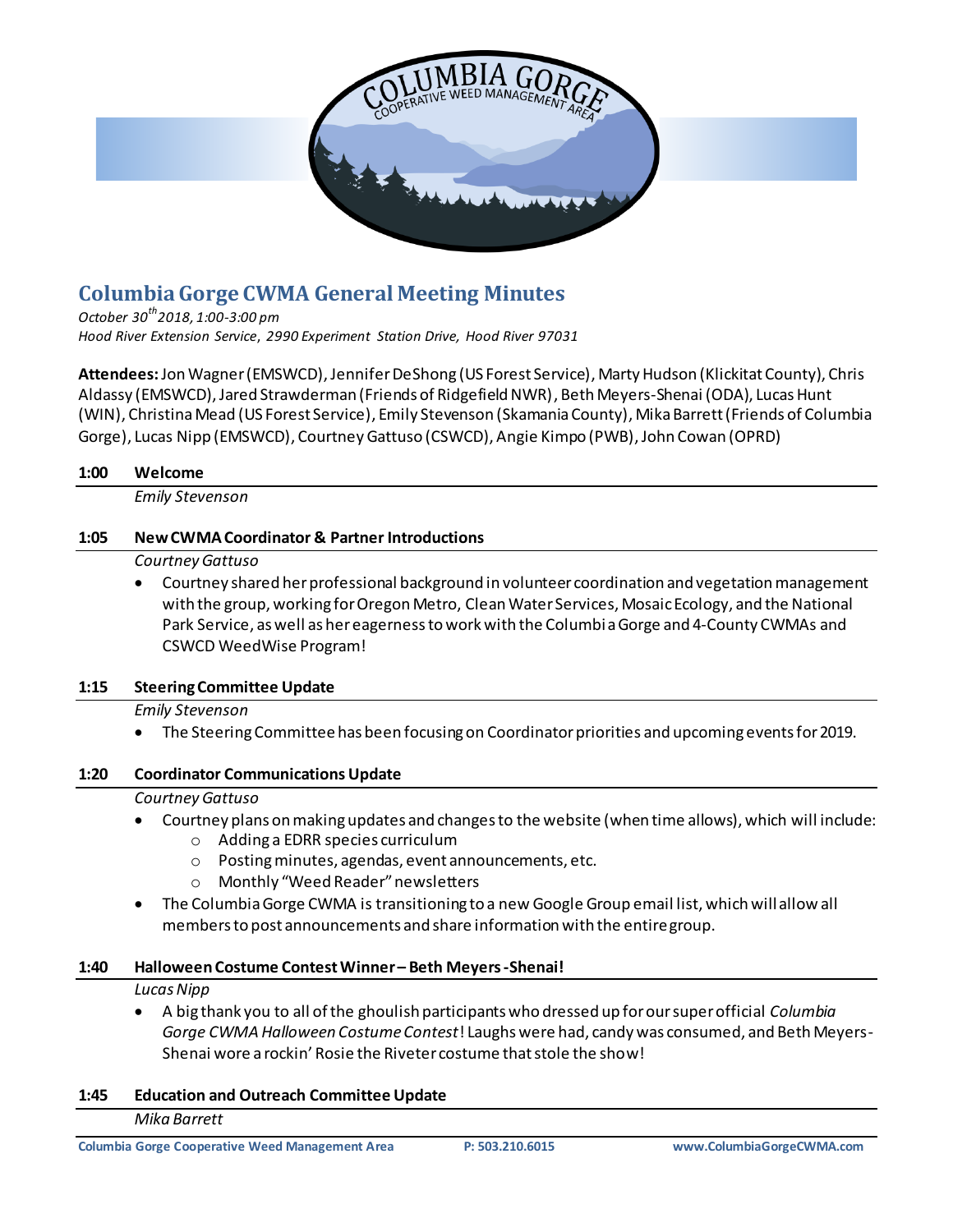

## **Columbia Gorge CWMA General Meeting Minutes**

*October 30th2018, 1:00-3:00 pm Hood River Extension Service*, *2990 Experiment Station Drive, Hood River 97031* 

Attendees: Jon Wagner (EMSWCD), Jennifer DeShong (US Forest Service), Marty Hudson (Klickitat County), Chris Aldassy (EMSWCD), Jared Strawderman (Friends of Ridgefield NWR), Beth Meyers-Shenai (ODA), Lucas Hunt (WIN), Christina Mead (US Forest Service), Emily Stevenson (Skamania County), Mika Barrett (Friends of Columbia Gorge), Lucas Nipp (EMSWCD), Courtney Gattuso (CSWCD), Angie Kimpo (PWB), John Cowan (OPRD)

| 1:00 | Welcome                                                                                                                                                                                                                             |
|------|-------------------------------------------------------------------------------------------------------------------------------------------------------------------------------------------------------------------------------------|
|      | <b>Emily Stevenson</b>                                                                                                                                                                                                              |
| 1:05 | <b>New CWMA Coordinator &amp; Partner Introductions</b>                                                                                                                                                                             |
|      | Courtney Gattuso<br>Courtney shared her professional background in volunteer coordination and vegetation management                                                                                                                 |
|      | with the group, working for Oregon Metro, Clean Water Services, Mosaic Ecology, and the National<br>Park Service, as well as her eagerness to work with the Columbia Gorge and 4-County CWMAs and<br><b>CSWCD WeedWise Program!</b> |
| 1:15 | <b>Steering Committee Update</b>                                                                                                                                                                                                    |
|      | <b>Emily Stevenson</b>                                                                                                                                                                                                              |
|      | The Steering Committee has been focusing on Coordinator priorities and upcoming events for 2019.                                                                                                                                    |
| 1:20 | <b>Coordinator Communications Update</b>                                                                                                                                                                                            |
|      | Courtney Gattuso                                                                                                                                                                                                                    |
|      | Courtney plans on making updates and changes to the website (when time allows), which will include:<br>Adding a EDRR species curriculum<br>$\circ$                                                                                  |
|      | Posting minutes, agendas, event announcements, etc.<br>$\circ$                                                                                                                                                                      |
|      | Monthly "Weed Reader" newsletters<br>$\circ$                                                                                                                                                                                        |
|      | The Columbia Gorge CWMA is transitioning to a new Google Group email list, which will allow all<br>members to post announcements and share information with the entire group.                                                       |
| 1:40 | Halloween Costume Contest Winner-Beth Meyers-Shenai!                                                                                                                                                                                |
|      | <b>Lucas Nipp</b>                                                                                                                                                                                                                   |
|      | A big thank you to all of the ghoulish participants who dressed up for our super official Columbia                                                                                                                                  |

*Gorge CWMA Halloween Costume Contest*! Laughs were had, candy was consumed, and Beth Meyers-Shenai wore a rockin' Rosie the Riveter costume that stole the show!

#### **1:45 Education and Outreach Committee Update**

#### *Mika Barrett*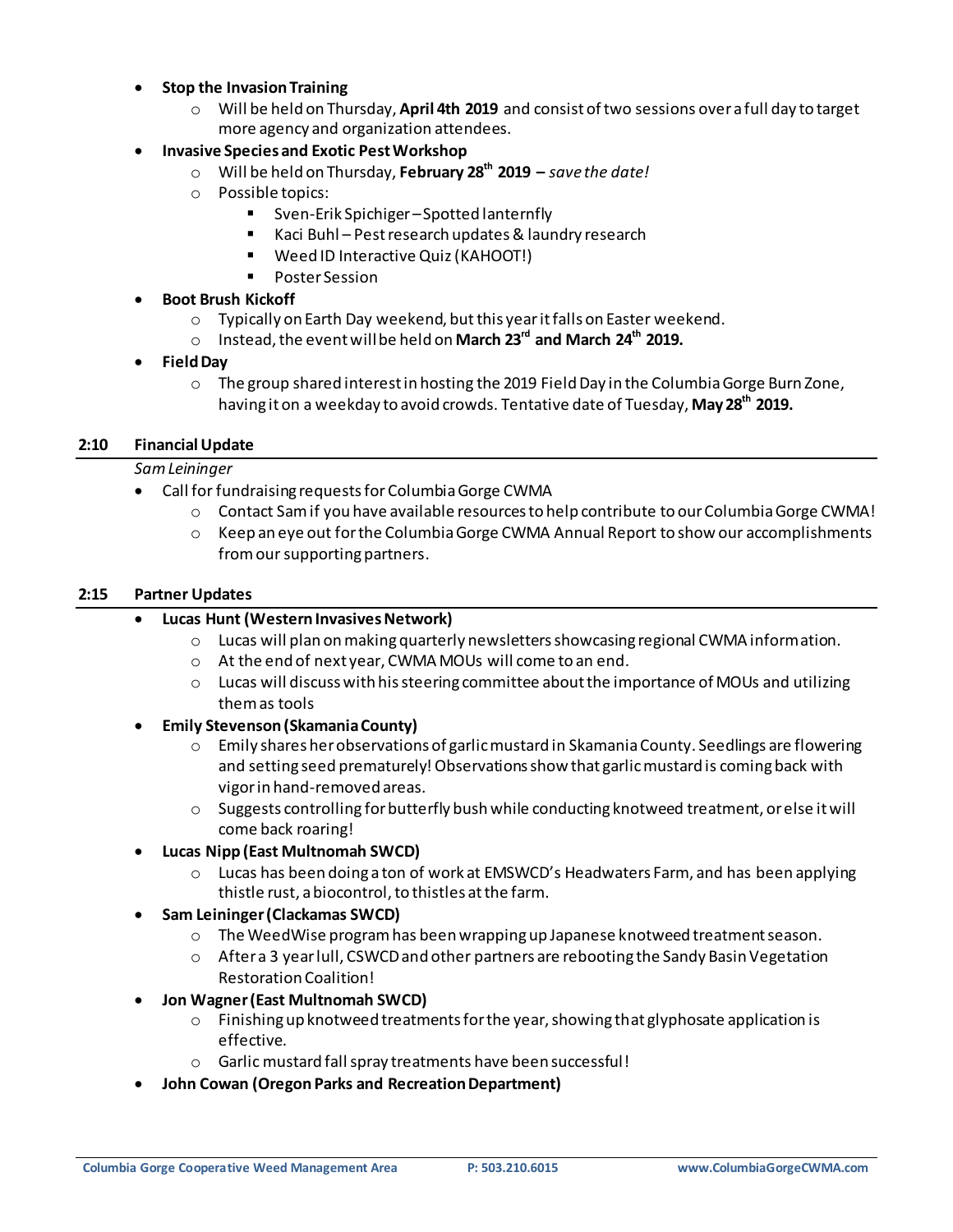#### **Stop the Invasion Training**

o Will be held on Thursday, **April 4th 2019** and consist of two sessions over a full day to target more agency and organization attendees.

#### **Invasive Species and Exotic Pest Workshop**

- o Will be held on Thursday, **February 28th 2019 –** *save the date!*
- o Possible topics:
	- Sven-Erik Spichiger –Spotted lanternfly
	- Kaci Buhl Pest research updates & laundry research
	- Weed ID Interactive Quiz (KAHOOT!)
	- Poster Session

#### **Boot Brush Kickoff**

- o Typically on Earth Day weekend, butthis yearit falls on Easter weekend.
- o Instead, the event will be held on **March 23rd and March 24th 2019.**

#### **Field Day**

o The group shared interest in hosting the 2019 Field Day in the Columbia Gorge Burn Zone, having it on a weekday to avoid crowds. Tentative date of Tuesday, **May 28th 2019.**

#### **2:10 Financial Update**

#### *Sam Leininger*

- Call for fundraising requests for Columbia Gorge CWMA
	- $\circ$  Contact Sam if you have available resources to help contribute to our Columbia Gorge CWMA!
	- $\circ$  Keep an eye out for the Columbia Gorge CWMA Annual Report to show our accomplishments from our supporting partners.

#### **2:15 Partner Updates**

#### **Lucas Hunt (Western Invasives Network)**

- o Lucas will plan on making quarterly newsletters showcasing regional CWMA information.
- o At the end of next year, CWMA MOUs will come to an end.
- $\circ$  Lucas will discuss with his steering committee about the importance of MOUs and utilizing them as tools
- **Emily Stevenson (Skamania County)**
	- $\circ$  Emily shares her observations of garlic mustard in Skamania County. Seedlings are flowering and setting seed prematurely! Observations show that garlic mustard is coming back with vigor in hand-removed areas.
	- $\circ$  Suggests controlling for butterfly bush while conducting knotweed treatment, or else it will come back roaring!

#### **Lucas Nipp (East Multnomah SWCD)**

- o Lucas has been doing a ton of work at EMSWCD's Headwaters Farm, and has been applying thistle rust, a biocontrol, to thistles at the farm.
- **Sam Leininger(Clackamas SWCD)**
	- $\circ$  The WeedWise program has been wrapping up Japanese knotweed treatment season.
	- $\circ$  After a 3 year lull, CSWCD and other partners are rebooting the Sandy Basin Vegetation Restoration Coalition!

#### **Jon Wagner (East Multnomah SWCD)**

- $\circ$  Finishing up knotweed treatments for the year, showing that glyphosate application is effective.
- o Garlic mustard fall spray treatments have been successful!
- **John Cowan (Oregon Parks and Recreation Department)**